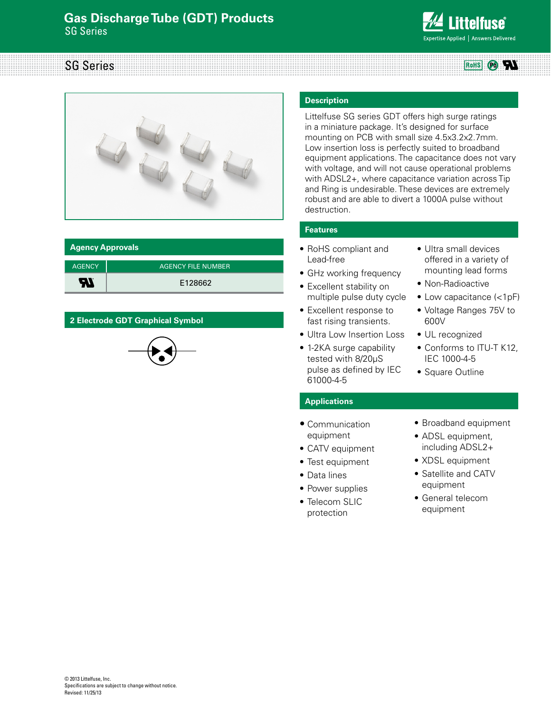# **Gas Discharge Tube (GDT) Products** SG Series



## SG Series RoHS **OO**



| <b>Agency Approvals</b> |                    |  |  |  |
|-------------------------|--------------------|--|--|--|
| <b>AGENCY</b>           | AGENCY FILE NUMBER |  |  |  |
| -77                     | E128662            |  |  |  |

## **2 Electrode GDT Graphical Symbol**



#### **Description**

Littelfuse SG series GDT offers high surge ratings in a miniature package. It's designed for surface mounting on PCB with small size 4.5x3.2x2.7mm. Low insertion loss is perfectly suited to broadband equipment applications. The capacitance does not vary with voltage, and will not cause operational problems with ADSL2+, where capacitance variation across Tip and Ring is undesirable. These devices are extremely robust and are able to divert a 1000A pulse without destruction.

### **Features**

- • RoHS compliant and Lead-free
- GHz working frequency
- Excellent stability on multiple pulse duty cycle • Excellent response to
- fast rising transients.
- Ultra Low Insertion Loss
- 1-2KA surge capability tested with 8/20μS pulse as defined by IEC 61000-4-5
- • Ultra small devices offered in a variety of mounting lead forms
- Non-Radioactive
- Low capacitance (<1pF)
- • Voltage Ranges 75V to 600V
- UL recognized
- Conforms to ITU-T K12, IEC 1000-4-5
- Square Outline

# **Applications**

- Communication equipment
- CATV equipment
- Test equipment
- • Data lines
- Power supplies
- Telecom SLIC protection
- • Broadband equipment
- ADSL equipment, including ADSL2+
- XDSL equipment
- • Satellite and CATV equipment
- • General telecom equipment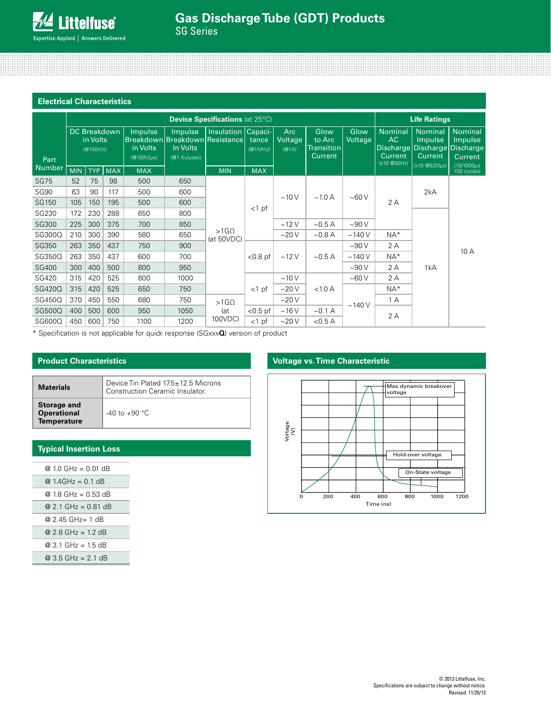# **Gas Discharge Tube (GDT) Products** SG Series

| <b>Electrical Characteristics</b> |                                        |                       |                     |                                                                 |                                     |                                    |                  |                         |                                                |                              |                                               |                                                                                             |                                                                        |  |
|-----------------------------------|----------------------------------------|-----------------------|---------------------|-----------------------------------------------------------------|-------------------------------------|------------------------------------|------------------|-------------------------|------------------------------------------------|------------------------------|-----------------------------------------------|---------------------------------------------------------------------------------------------|------------------------------------------------------------------------|--|
|                                   | <b>Device Specifications (at 25°C)</b> |                       |                     |                                                                 |                                     |                                    |                  | <b>Life Ratings</b>     |                                                |                              |                                               |                                                                                             |                                                                        |  |
| Part                              |                                        | in Volts<br>(@100V/s) | <b>DC Breakdown</b> | Impulse<br><b>Breakdown Breakdown</b><br>in Volts<br>(@100V/µs) | Impulse<br>In Volts<br>(@1 Kv/µsec) | Insulation Capaci-<br>lResistancel | tance<br>(@1MHz) | Arc<br>Voltage<br>(@1A) | Glow<br>to Arc<br>Transition<br><b>Current</b> | Glow<br>Voltage              | Nominal<br>AC<br><b>Current</b><br>(x10@50Hz) | <b>Nominal</b><br>Impulse<br>Discharge Discharge<br><b>Current</b><br>$(x10 \t@8/20 \mu s)$ | <b>Nominal</b><br>Impulse<br>Discharge<br>Current<br>$(10/1000 \mu s)$ |  |
| Number                            | <b>MIN</b>                             | <b>TYP</b>            | <b>MAX</b>          | <b>MAX</b>                                                      |                                     | <b>MIN</b>                         | <b>MAX</b>       |                         |                                                |                              |                                               |                                                                                             | 100 cycles)                                                            |  |
| <b>SG75</b>                       | 52                                     | 75                    | 98                  | 500                                                             | 650                                 |                                    |                  |                         |                                                | ~100V                        |                                               | 2kA                                                                                         |                                                                        |  |
| <b>SG90</b>                       | 63                                     | 90                    | 117                 | 500                                                             | 600                                 |                                    |                  | ~10V                    |                                                |                              |                                               |                                                                                             |                                                                        |  |
| SG150                             | 105                                    | 150                   | 195                 | 500                                                             | 600                                 |                                    |                  | $\sim$ 1.0 A            |                                                | 2 A                          |                                               |                                                                                             |                                                                        |  |
| SG230                             | 172                                    | 230                   | 288                 | 650                                                             | 800                                 | $<$ 1 pf                           |                  |                         |                                                |                              |                                               |                                                                                             |                                                                        |  |
| <b>SG300</b>                      | 225                                    | 300                   | 375                 | 700                                                             | 850                                 |                                    |                  | ~12V                    | $\sim$ 0.5 A                                   | ~100V                        |                                               |                                                                                             |                                                                        |  |
| SG300Q                            | 210                                    | 300                   | 390                 | 580                                                             | 650                                 | $>1$ G $\Omega$<br>(at 50VDC)      |                  | ~20V                    | $~10.8$ A                                      | ~140V                        | $NA*$                                         |                                                                                             |                                                                        |  |
| SG350                             | 263                                    | 350                   | 437                 | 750                                                             | 900                                 |                                    |                  |                         |                                                | ~100V                        | 2 A                                           |                                                                                             | 10 A                                                                   |  |
| SG350Q                            | 263                                    | 350                   | 437                 | 600                                                             | 700                                 |                                    |                  | $< 0.8$ pf              | ~12V                                           | $\sim$ 0.5 A                 | ~140V                                         | $NA*$                                                                                       |                                                                        |  |
| <b>SG400</b>                      | 300                                    | 400                   | 500                 | 800                                                             | 950                                 |                                    |                  |                         |                                                | ~100V                        | 2 A                                           | 1kA                                                                                         |                                                                        |  |
| SG420                             | 315                                    | 420                   | 525                 | 800                                                             | 1000                                |                                    |                  | ~10V                    |                                                | ~100V                        | 2 A                                           |                                                                                             |                                                                        |  |
| SG420Q                            | 315                                    | 420                   | 525                 | 650                                                             | 750                                 | $>1$ G $\Omega$                    | $<$ 1 pf         | ~20V                    | < 1.0 A                                        | $NA*$<br>1 A<br>~140V<br>2 A |                                               |                                                                                             |                                                                        |  |
| SG450Q                            | 370                                    | 450                   | 550                 | 680                                                             | 750                                 |                                    |                  | $\sim$ 20 V             |                                                |                              |                                               |                                                                                             |                                                                        |  |
| SG500Q                            | 400                                    | 500                   | 600                 | 950                                                             | 1050                                | (at                                | $<$ 0.5 pf       | ~16V                    | $\sim$ 0.1 A                                   |                              |                                               |                                                                                             |                                                                        |  |
| SG600Q                            | 450                                    | 600                   | 750                 | 1100                                                            | 1200                                | 100VDC)                            | $<$ 1 pf         | ~20V                    | < 0.5 A                                        |                              |                                               |                                                                                             |                                                                        |  |

\* Specification is not applicable for quick response (SGxxx**Q**) version of product

## **Product Characteristics**

| <b>Materials</b>                                        | Device Tin Plated 17.5±12.5 Microns<br>Construction Ceramic Insulator. |
|---------------------------------------------------------|------------------------------------------------------------------------|
| Storage and<br><b>Operational</b><br><b>Temperature</b> | $-40$ to $+90$ °C                                                      |

# **Typical Insertion Loss**

| @ 1.0 GHz = 0.01 dB                 |
|-------------------------------------|
| @ $1.4$ GHz = 0.1 dB                |
| @ 1.8 GHz = 0.53 dB                 |
| @ 2.1 GHz = $0.81$ dB               |
| @ 2 45 GHz= 1 dB                    |
| @ 2 8 GHz = 1 2 dB                  |
| $@3.1 \text{ GHz} = 1.5 \text{ dB}$ |
| @ 3.5 GHz = 2.1 dB                  |
|                                     |

## **Voltage vs. Time Characteristic**

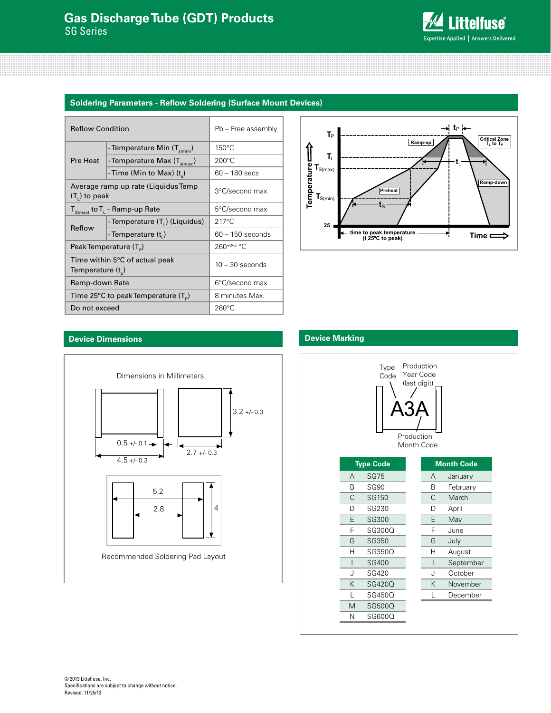

#### **Soldering Parameters - Reflow Soldering (Surface Mount Devices)**

| <b>Reflow Condition</b> |                                             | Pb - Free assembly |  |  |
|-------------------------|---------------------------------------------|--------------------|--|--|
|                         | - Temperature Min $(T_{\text{s(min)}})$     | $150^{\circ}$ C    |  |  |
| Pre Heat                | -Temperature Max $(T_{\text{s(max)}})$      | $200^{\circ}$ C    |  |  |
|                         | -Time (Min to Max) (t)                      | 60 - 180 secs      |  |  |
| $(T1)$ to peak          | Average ramp up rate (Liquidus Temp         | 3°C/second max     |  |  |
|                         | $T_{S(max)}$ to $T_{L}$ - Ramp-up Rate      | 5°C/second max     |  |  |
| Reflow                  | - Temperature (T <sub>1</sub> ) (Liquidus)  | $217^{\circ}$ C    |  |  |
|                         | -Temperature (t,)                           | $60 - 150$ seconds |  |  |
|                         | Peak Temperature (T <sub>e</sub> )          | $260^{+0/5}$ °C    |  |  |
| Temperature $(t_{n})$   | Time within 5°C of actual peak              | $10 - 30$ seconds  |  |  |
| Ramp-down Rate          |                                             | 6°C/second max     |  |  |
|                         | Time 25°C to peak Temperature $(T_{\circ})$ | 8 minutes Max.     |  |  |
| Do not exceed           |                                             | $260^{\circ}$ C    |  |  |



#### **Device Dimensions**



### **Device Marking**